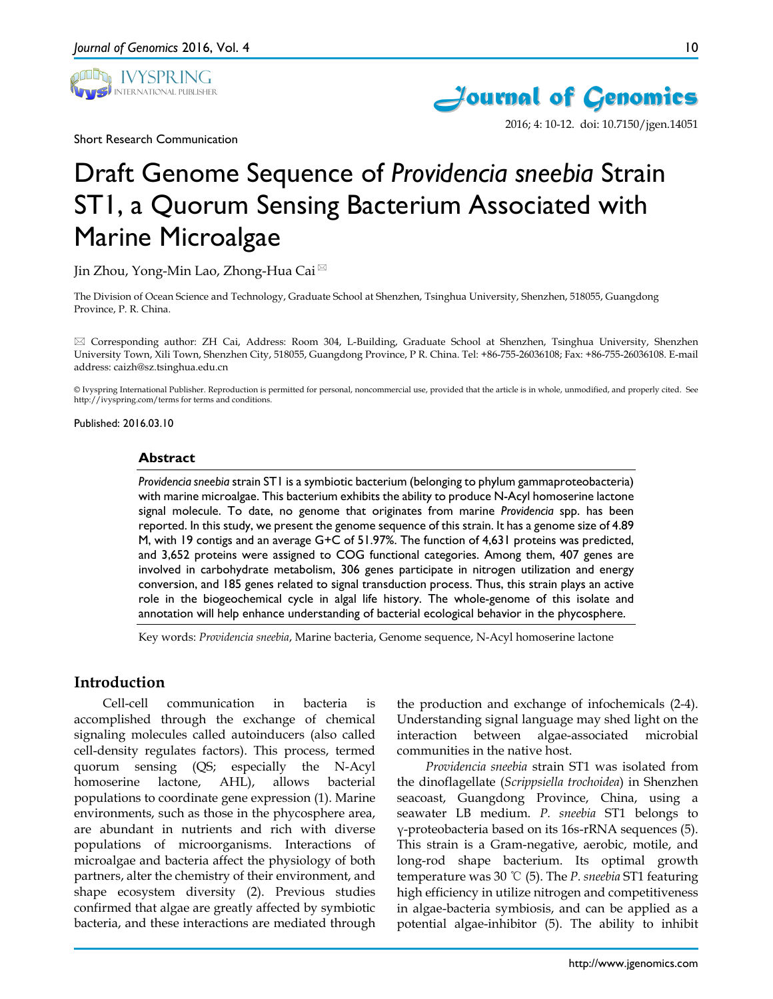

Short Research Communication



2016; 4: 10-12. doi: 10.7150/jgen.14051

# Draft Genome Sequence of *Providencia sneebia* Strain ST1, a Quorum Sensing Bacterium Associated with Marine Microalgae

Jin Zhou, Yong-Min Lao, Zhong-Hua Cai

The Division of Ocean Science and Technology, Graduate School at Shenzhen, Tsinghua University, Shenzhen, 518055, Guangdong Province, P. R. China.

 Corresponding author: ZH Cai, Address: Room 304, L-Building, Graduate School at Shenzhen, Tsinghua University, Shenzhen University Town, Xili Town, Shenzhen City, 518055, Guangdong Province, P R. China. Tel: +86-755-26036108; Fax: +86-755-26036108. E-mail address: caizh@sz.tsinghua.edu.cn

© Ivyspring International Publisher. Reproduction is permitted for personal, noncommercial use, provided that the article is in whole, unmodified, and properly cited. See http://ivyspring.com/terms for terms and conditions.

Published: 2016.03.10

#### **Abstract**

*Providencia sneebia* strain ST1 is a symbiotic bacterium (belonging to phylum gammaproteobacteria) with marine microalgae. This bacterium exhibits the ability to produce N-Acyl homoserine lactone signal molecule. To date, no genome that originates from marine *Providencia* spp. has been reported. In this study, we present the genome sequence of this strain. It has a genome size of 4.89 M, with 19 contigs and an average G+C of 51.97%. The function of 4,631 proteins was predicted, and 3,652 proteins were assigned to COG functional categories. Among them, 407 genes are involved in carbohydrate metabolism, 306 genes participate in nitrogen utilization and energy conversion, and 185 genes related to signal transduction process. Thus, this strain plays an active role in the biogeochemical cycle in algal life history. The whole-genome of this isolate and annotation will help enhance understanding of bacterial ecological behavior in the phycosphere.

Key words: *Providencia sneebia*, Marine bacteria, Genome sequence, N-Acyl homoserine lactone

# **Introduction**

Cell-cell communication in bacteria is accomplished through the exchange of chemical signaling molecules called autoinducers (also called cell-density regulates factors). This process, termed quorum sensing (QS; especially the N-Acyl homoserine lactone, AHL), allows bacterial populations to coordinate gene expression (1). Marine environments, such as those in the phycosphere area, are abundant in nutrients and rich with diverse populations of microorganisms. Interactions of microalgae and bacteria affect the physiology of both partners, alter the chemistry of their environment, and shape ecosystem diversity (2). Previous studies confirmed that algae are greatly affected by symbiotic bacteria, and these interactions are mediated through the production and exchange of infochemicals (2-4). Understanding signal language may shed light on the interaction between algae-associated microbial communities in the native host.

*Providencia sneebia* strain ST1 was isolated from the dinoflagellate (*Scrippsiella trochoidea*) in Shenzhen seacoast, Guangdong Province, China, using a seawater LB medium. *P. sneebia* ST1 belongs to γ-proteobacteria based on its 16s-rRNA sequences (5). This strain is a Gram-negative, aerobic, motile, and long-rod shape bacterium. Its optimal growth temperature was 30 ℃ (5). The *P. sneebia* ST1 featuring high efficiency in utilize nitrogen and competitiveness in algae-bacteria symbiosis, and can be applied as a potential algae-inhibitor (5). The ability to inhibit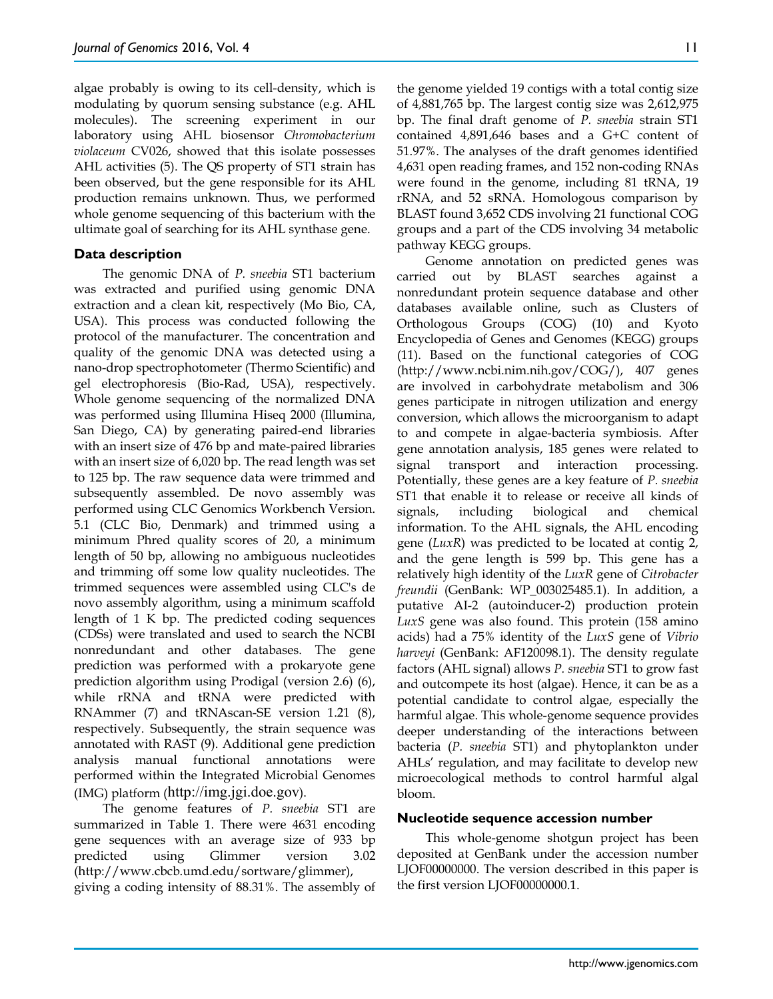algae probably is owing to its cell-density, which is modulating by quorum sensing substance (e.g. AHL molecules). The screening experiment in our laboratory using AHL biosensor *Chromobacterium violaceum* CV026, showed that this isolate possesses AHL activities (5). The QS property of ST1 strain has been observed, but the gene responsible for its AHL production remains unknown. Thus, we performed whole genome sequencing of this bacterium with the ultimate goal of searching for its AHL synthase gene.

#### **Data description**

The genomic DNA of *P. sneebia* ST1 bacterium was extracted and purified using genomic DNA extraction and a clean kit, respectively (Mo Bio, CA, USA). This process was conducted following the protocol of the manufacturer. The concentration and quality of the genomic DNA was detected using a nano-drop spectrophotometer (Thermo Scientific) and gel electrophoresis (Bio-Rad, USA), respectively. Whole genome sequencing of the normalized DNA was performed using Illumina Hiseq 2000 (Illumina, San Diego, CA) by generating paired-end libraries with an insert size of 476 bp and mate-paired libraries with an insert size of 6,020 bp. The read length was set to 125 bp. The raw sequence data were trimmed and subsequently assembled. De novo assembly was performed using CLC Genomics Workbench Version. 5.1 (CLC Bio, Denmark) and trimmed using a minimum Phred quality scores of 20, a minimum length of 50 bp, allowing no ambiguous nucleotides and trimming off some low quality nucleotides. The trimmed sequences were assembled using CLC's de novo assembly algorithm, using a minimum scaffold length of 1 K bp. The predicted coding sequences (CDSs) were translated and used to search the NCBI nonredundant and other databases. The gene prediction was performed with a prokaryote gene prediction algorithm using Prodigal (version 2.6) (6), while rRNA and tRNA were predicted with RNAmmer (7) and tRNAscan-SE version 1.21 (8), respectively. Subsequently, the strain sequence was annotated with RAST (9). Additional gene prediction analysis manual functional annotations were performed within the Integrated Microbial Genomes (IMG) platform (http://img.jgi.doe.gov).

The genome features of *P. sneebia* ST1 are summarized in Table 1. There were 4631 encoding gene sequences with an average size of 933 bp predicted using Glimmer version 3.02 (http://www.cbcb.umd.edu/sortware/glimmer), giving a coding intensity of 88.31%. The assembly of the genome yielded 19 contigs with a total contig size of 4,881,765 bp. The largest contig size was 2,612,975 bp. The final draft genome of *P. sneebia* strain ST1 contained 4,891,646 bases and a G+C content of 51.97%. The analyses of the draft genomes identified 4,631 open reading frames, and 152 non-coding RNAs were found in the genome, including 81 tRNA, 19 rRNA, and 52 sRNA. Homologous comparison by BLAST found 3,652 CDS involving 21 functional COG groups and a part of the CDS involving 34 metabolic pathway KEGG groups.

Genome annotation on predicted genes was carried out by BLAST searches against a nonredundant protein sequence database and other databases available online, such as Clusters of Orthologous Groups (COG) (10) and Kyoto Encyclopedia of Genes and Genomes (KEGG) groups (11). Based on the functional categories of COG (http://www.ncbi.nim.nih.gov/COG/), 407 genes are involved in carbohydrate metabolism and 306 genes participate in nitrogen utilization and energy conversion, which allows the microorganism to adapt to and compete in algae-bacteria symbiosis. After gene annotation analysis, 185 genes were related to signal transport and interaction processing. Potentially, these genes are a key feature of *P. sneebia* ST1 that enable it to release or receive all kinds of signals, including biological and chemical information. To the AHL signals, the AHL encoding gene (*LuxR*) was predicted to be located at contig 2, and the gene length is 599 bp. This gene has a relatively high identity of the *LuxR* gene of *Citrobacter freundii* (GenBank: WP\_003025485.1). In addition, a putative AI-2 (autoinducer-2) production protein *LuxS* gene was also found. This protein (158 amino acids) had a 75% identity of the *LuxS* gene of *Vibrio harveyi* (GenBank: AF120098.1). The density regulate factors (AHL signal) allows *P. sneebia* ST1 to grow fast and outcompete its host (algae). Hence, it can be as a potential candidate to control algae, especially the harmful algae. This whole-genome sequence provides deeper understanding of the interactions between bacteria (*P. sneebia* ST1) and phytoplankton under AHLs' regulation, and may facilitate to develop new microecological methods to control harmful algal bloom.

#### **Nucleotide sequence accession number**

This whole-genome shotgun project has been deposited at GenBank under the accession number LJOF00000000. The version described in this paper is the first version LJOF00000000.1.